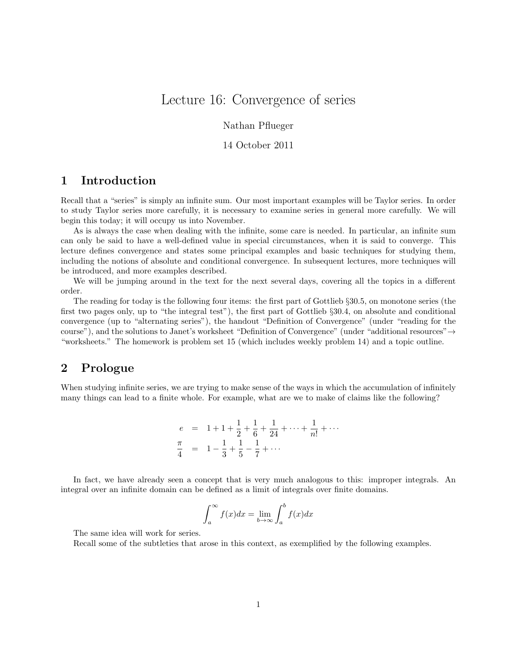# Lecture 16: Convergence of series

Nathan Pflueger

#### 14 October 2011

# 1 Introduction

Recall that a "series" is simply an infinite sum. Our most important examples will be Taylor series. In order to study Taylor series more carefully, it is necessary to examine series in general more carefully. We will begin this today; it will occupy us into November.

As is always the case when dealing with the infinite, some care is needed. In particular, an infinite sum can only be said to have a well-defined value in special circumstances, when it is said to converge. This lecture defines convergence and states some principal examples and basic techniques for studying them, including the notions of absolute and conditional convergence. In subsequent lectures, more techniques will be introduced, and more examples described.

We will be jumping around in the text for the next several days, covering all the topics in a different order.

The reading for today is the following four items: the first part of Gottlieb §30.5, on monotone series (the first two pages only, up to "the integral test"), the first part of Gottlieb §30.4, on absolute and conditional convergence (up to "alternating series"), the handout "Definition of Convergence" (under "reading for the course"), and the solutions to Janet's worksheet "Definition of Convergence" (under "additional resources" $\rightarrow$ "worksheets." The homework is problem set 15 (which includes weekly problem 14) and a topic outline.

#### 2 Prologue

When studying infinite series, we are trying to make sense of the ways in which the accumulation of infinitely many things can lead to a finite whole. For example, what are we to make of claims like the following?

$$
e = 1 + 1 + \frac{1}{2} + \frac{1}{6} + \frac{1}{24} + \dots + \frac{1}{n!} + \dots
$$
  

$$
\frac{\pi}{4} = 1 - \frac{1}{3} + \frac{1}{5} - \frac{1}{7} + \dots
$$

In fact, we have already seen a concept that is very much analogous to this: improper integrals. An integral over an infinite domain can be defined as a limit of integrals over finite domains.

$$
\int_{a}^{\infty} f(x)dx = \lim_{b \to \infty} \int_{a}^{b} f(x)dx
$$

The same idea will work for series.

Recall some of the subtleties that arose in this context, as exemplified by the following examples.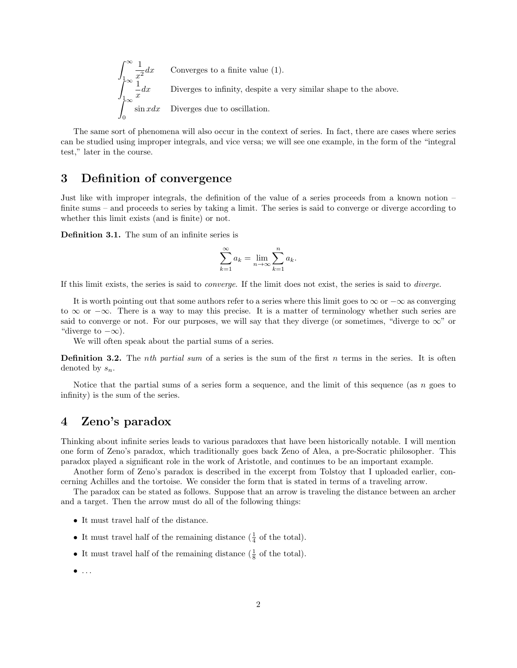$\int^{\infty}$ 1 1  $\frac{1}{x^2}dx$  Converges to a finite value (1).  $\int^{\infty}$ 1 1  $\frac{1}{x}dx$  Diverges to infinity, despite a very similar shape to the above.  $\int^{\infty}$ 0  $\sin x dx$  Diverges due to oscillation.

The same sort of phenomena will also occur in the context of series. In fact, there are cases where series can be studied using improper integrals, and vice versa; we will see one example, in the form of the "integral test," later in the course.

#### 3 Definition of convergence

Just like with improper integrals, the definition of the value of a series proceeds from a known notion – finite sums – and proceeds to series by taking a limit. The series is said to converge or diverge according to whether this limit exists (and is finite) or not.

Definition 3.1. The sum of an infinite series is

$$
\sum_{k=1}^{\infty} a_k = \lim_{n \to \infty} \sum_{k=1}^{n} a_k.
$$

If this limit exists, the series is said to converge. If the limit does not exist, the series is said to diverge.

It is worth pointing out that some authors refer to a series where this limit goes to  $\infty$  or  $-\infty$  as converging to  $\infty$  or  $-\infty$ . There is a way to may this precise. It is a matter of terminology whether such series are said to converge or not. For our purposes, we will say that they diverge (or sometimes, "diverge to  $\infty$ " or "diverge to  $-\infty$ ).

We will often speak about the partial sums of a series.

**Definition 3.2.** The *nth partial sum* of a series is the sum of the first n terms in the series. It is often denoted by  $s_n$ .

Notice that the partial sums of a series form a sequence, and the limit of this sequence (as  $n$  goes to infinity) is the sum of the series.

## 4 Zeno's paradox

Thinking about infinite series leads to various paradoxes that have been historically notable. I will mention one form of Zeno's paradox, which traditionally goes back Zeno of Alea, a pre-Socratic philosopher. This paradox played a significant role in the work of Aristotle, and continues to be an important example.

Another form of Zeno's paradox is described in the excerpt from Tolstoy that I uploaded earlier, concerning Achilles and the tortoise. We consider the form that is stated in terms of a traveling arrow.

The paradox can be stated as follows. Suppose that an arrow is traveling the distance between an archer and a target. Then the arrow must do all of the following things:

- It must travel half of the distance.
- It must travel half of the remaining distance  $(\frac{1}{4}$  of the total).
- It must travel half of the remaining distance  $(\frac{1}{8}$  of the total).
- $\bullet$  ...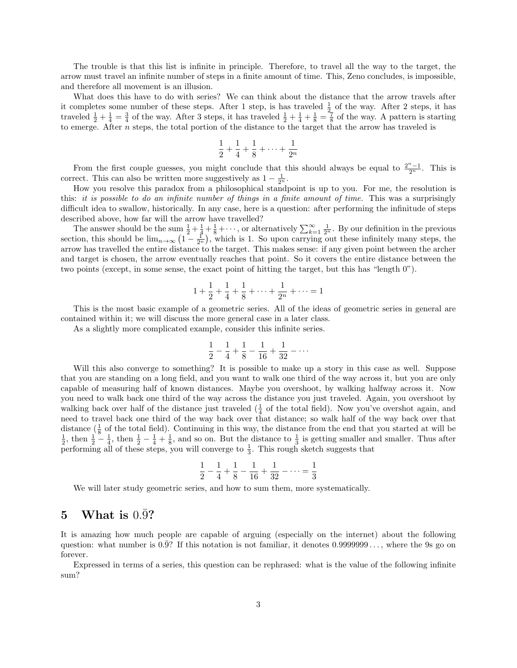The trouble is that this list is infinite in principle. Therefore, to travel all the way to the target, the arrow must travel an infinite number of steps in a finite amount of time. This, Zeno concludes, is impossible, and therefore all movement is an illusion.

What does this have to do with series? We can think about the distance that the arrow travels after it completes some number of these steps. After 1 step, is has traveled  $\frac{1}{2}$  of the way. After 2 steps, it has traveled  $\frac{1}{2} + \frac{1}{4} = \frac{3}{4}$  of the way. After 3 steps, it has traveled  $\frac{1}{2} + \frac{1}{4} + \frac{1}{8} = \frac{7}{8}$  of the way. A pattern is starting to emerge. After n steps, the total portion of the distance to the target that the arrow has traveled is

$$
\frac{1}{2} + \frac{1}{4} + \frac{1}{8} + \dots + \frac{1}{2^n}
$$

From the first couple guesses, you might conclude that this should always be equal to  $\frac{2^n-1}{2^n}$ . This is correct. This can also be written more suggestively as  $1 - \frac{1}{2^n}$ .

How you resolve this paradox from a philosophical standpoint is up to you. For me, the resolution is this: it is possible to do an infinite number of things in a finite amount of time. This was a surprisingly difficult idea to swallow, historically. In any case, here is a question: after performing the infinitude of steps described above, how far will the arrow have travelled?

The answer should be the sum  $\frac{1}{2} + \frac{1}{4} + \frac{1}{8} + \cdots$ , or alternatively  $\sum_{k=1}^{\infty} \frac{1}{2^n}$ . By our definition in the previous section, this should be  $\lim_{n\to\infty} (1-\frac{1}{2^n})$ , which is 1. So upon carrying out these infinitely many steps, the arrow has travelled the entire distance to the target. This makes sense: if any given point between the archer and target is chosen, the arrow eventually reaches that point. So it covers the entire distance between the two points (except, in some sense, the exact point of hitting the target, but this has "length 0").

$$
1 + \frac{1}{2} + \frac{1}{4} + \frac{1}{8} + \dots + \frac{1}{2^n} + \dots = 1
$$

This is the most basic example of a geometric series. All of the ideas of geometric series in general are contained within it; we will discuss the more general case in a later class.

As a slightly more complicated example, consider this infinite series.

$$
\frac{1}{2} - \frac{1}{4} + \frac{1}{8} - \frac{1}{16} + \frac{1}{32} - \dots
$$

Will this also converge to something? It is possible to make up a story in this case as well. Suppose that you are standing on a long field, and you want to walk one third of the way across it, but you are only capable of measuring half of known distances. Maybe you overshoot, by walking halfway across it. Now you need to walk back one third of the way across the distance you just traveled. Again, you overshoot by walking back over half of the distance just traveled  $(\frac{1}{4}$  of the total field). Now you've overshot again, and need to travel back one third of the way back over that distance; so walk half of the way back over that distance  $(\frac{1}{8}$  of the total field). Continuing in this way, the distance from the end that you started at will be  $\frac{1}{2}$ , then  $\frac{1}{2} - \frac{1}{4}$ , then  $\frac{1}{2} - \frac{1}{4} + \frac{1}{8}$ , and so on. But the distance to  $\frac{1$ performing all of these steps, you will converge to  $\frac{1}{3}$ . This rough sketch suggests that

$$
\frac{1}{2} - \frac{1}{4} + \frac{1}{8} - \frac{1}{16} + \frac{1}{32} - \dots = \frac{1}{3}
$$

We will later study geometric series, and how to sum them, more systematically.

#### 5 What is  $0.\overline{9}$ ?

It is amazing how much people are capable of arguing (especially on the internet) about the following question: what number is  $0.\overline{9}$ ? If this notation is not familiar, it denotes  $0.99999999...$ , where the 9s go on forever.

Expressed in terms of a series, this question can be rephrased: what is the value of the following infinite sum?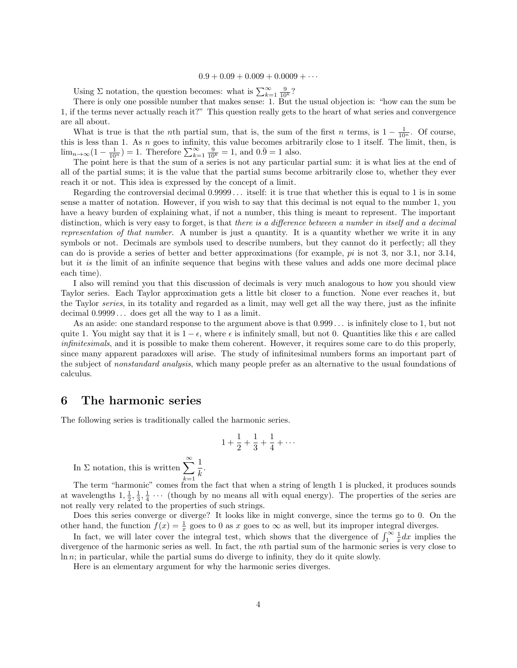#### $0.9 + 0.09 + 0.009 + 0.0009 + \cdots$

Using  $\Sigma$  notation, the question becomes: what is  $\sum_{k=1}^{\infty} \frac{9}{10^k}$ ?

There is only one possible number that makes sense: 1. But the usual objection is: "how can the sum be 1, if the terms never actually reach it?" This question really gets to the heart of what series and convergence are all about.

What is true is that the *n*th partial sum, that is, the sum of the first *n* terms, is  $1 - \frac{1}{10^n}$ . Of course, this is less than 1. As  $n$  goes to infinity, this value becomes arbitrarily close to 1 itself. The limit, then, is  $\lim_{n \to \infty} (1 - \frac{1}{10^n}) = 1$ . Therefore  $\sum_{k=1}^{\infty} \frac{9}{10^k} = 1$ , and  $0.\overline{9} = 1$  also.

The point here is that the sum of a series is not any particular partial sum: it is what lies at the end of all of the partial sums; it is the value that the partial sums become arbitrarily close to, whether they ever reach it or not. This idea is expressed by the concept of a limit.

Regarding the controversial decimal 0.9999 . . . itself: it is true that whether this is equal to 1 is in some sense a matter of notation. However, if you wish to say that this decimal is not equal to the number 1, you have a heavy burden of explaining what, if not a number, this thing is meant to represent. The important distinction, which is very easy to forget, is that there is a difference between a number in itself and a decimal representation of that number. A number is just a quantity. It is a quantity whether we write it in any symbols or not. Decimals are symbols used to describe numbers, but they cannot do it perfectly; all they can do is provide a series of better and better approximations (for example,  $pi$  is not 3, nor 3.1, nor 3.14, but it is the limit of an infinite sequence that begins with these values and adds one more decimal place each time).

I also will remind you that this discussion of decimals is very much analogous to how you should view Taylor series. Each Taylor approximation gets a little bit closer to a function. None ever reaches it, but the Taylor series, in its totality and regarded as a limit, may well get all the way there, just as the infinite decimal 0.9999 . . . does get all the way to 1 as a limit.

As an aside: one standard response to the argument above is that 0.999 . . . is infinitely close to 1, but not quite 1. You might say that it is  $1 - \epsilon$ , where  $\epsilon$  is infinitely small, but not 0. Quantities like this  $\epsilon$  are called infinitesimals, and it is possible to make them coherent. However, it requires some care to do this properly, since many apparent paradoxes will arise. The study of infinitesimal numbers forms an important part of the subject of nonstandard analysis, which many people prefer as an alternative to the usual foundations of calculus.

#### 6 The harmonic series

The following series is traditionally called the harmonic series.

$$
1 + \frac{1}{2} + \frac{1}{3} + \frac{1}{4} + \cdots
$$

In  $\Sigma$  notation, this is written  $\sum_{n=1}^{\infty}$  $k=1$ 1  $\frac{1}{k}$ .

The term "harmonic" comes from the fact that when a string of length 1 is plucked, it produces sounds at wavelengths  $1, \frac{1}{2}, \frac{1}{3}, \frac{1}{4} \cdots$  (though by no means all with equal energy). The properties of the series are not really very related to the properties of such strings.

Does this series converge or diverge? It looks like in might converge, since the terms go to 0. On the other hand, the function  $f(x) = \frac{1}{x}$  goes to 0 as x goes to  $\infty$  as well, but its improper integral diverges.

In fact, we will later cover the integral test, which shows that the divergence of  $\int_1^{\infty} \frac{1}{x} dx$  implies the divergence of the harmonic series as well. In fact, the nth partial sum of the harmonic series is very close to  $\ln n$ ; in particular, while the partial sums do diverge to infinity, they do it quite slowly.

Here is an elementary argument for why the harmonic series diverges.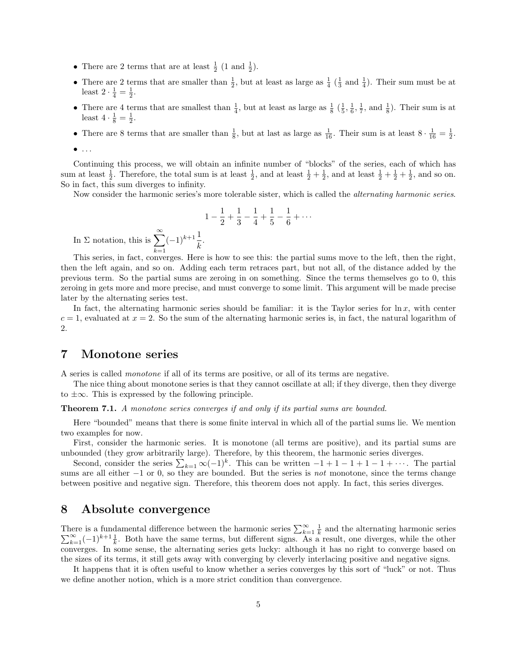- There are 2 terms that are at least  $\frac{1}{2}$  (1 and  $\frac{1}{2}$ ).
- There are 2 terms that are smaller than  $\frac{1}{2}$ , but at least as large as  $\frac{1}{4}$  ( $\frac{1}{3}$  and  $\frac{1}{4}$ ). Their sum must be at least  $2 \cdot \frac{1}{4} = \frac{1}{2}$ .
- There are 4 terms that are smallest than  $\frac{1}{4}$ , but at least as large as  $\frac{1}{8}$  ( $\frac{1}{5}$ ,  $\frac{1}{6}$ ,  $\frac{1}{7}$ , and  $\frac{1}{8}$ ). Their sum is at least  $4 \cdot \frac{1}{8} = \frac{1}{2}$ .
- There are 8 terms that are smaller than  $\frac{1}{8}$ , but at last as large as  $\frac{1}{16}$ . Their sum is at least  $8 \cdot \frac{1}{16} = \frac{1}{2}$ .

Continuing this process, we will obtain an infinite number of "blocks" of the series, each of which has sum at least  $\frac{1}{2}$ . Therefore, the total sum is at least  $\frac{1}{2}$ , and at least  $\frac{1}{2} + \frac{1}{2}$ , and at least  $\frac{1}{2} + \frac{1}{2} + \frac{1}{2}$ , and so on. So in fact, this sum diverges to infinity.

Now consider the harmonic series's more tolerable sister, which is called the *alternating harmonic series*.

$$
1 - \frac{1}{2} + \frac{1}{3} - \frac{1}{4} + \frac{1}{5} - \frac{1}{6} + \dots
$$
  
+1 $\frac{1}{7}$ .

In  $\Sigma$  notation, this is  $\sum_{n=1}^{\infty}$  $k=1$  $(-1)^{k+1}\frac{1}{k}$ 

This series, in fact, converges. Here is how to see this: the partial sums move to the left, then the right, then the left again, and so on. Adding each term retraces part, but not all, of the distance added by the previous term. So the partial sums are zeroing in on something. Since the terms themselves go to 0, this zeroing in gets more and more precise, and must converge to some limit. This argument will be made precise later by the alternating series test.

In fact, the alternating harmonic series should be familiar: it is the Taylor series for  $\ln x$ , with center  $c = 1$ , evaluated at  $x = 2$ . So the sum of the alternating harmonic series is, in fact, the natural logarithm of 2.

# 7 Monotone series

A series is called monotone if all of its terms are positive, or all of its terms are negative.

The nice thing about monotone series is that they cannot oscillate at all; if they diverge, then they diverge to  $\pm\infty$ . This is expressed by the following principle.

**Theorem 7.1.** A monotone series converges if and only if its partial sums are bounded.

Here "bounded" means that there is some finite interval in which all of the partial sums lie. We mention two examples for now.

First, consider the harmonic series. It is monotone (all terms are positive), and its partial sums are unbounded (they grow arbitrarily large). Therefore, by this theorem, the harmonic series diverges.

Second, consider the series  $\sum_{k=1} \infty (-1)^k$ . This can be written  $-1 + 1 - 1 + 1 - 1 + \cdots$ . The partial sums are all either −1 or 0, so they are bounded. But the series is *not* monotone, since the terms change between positive and negative sign. Therefore, this theorem does not apply. In fact, this series diverges.

#### 8 Absolute convergence

There is a fundamental difference between the harmonic series  $\sum_{k=1}^{\infty} \frac{1}{k}$ <br> $\sum_{k=1}^{\infty} (-1)^{k+1} \frac{1}{k}$ . Both have the same terms, but different signs. As a have the same terms, but different signs. As a result, one diverges, while the other  $\sum_{k=1}^{\infty}(-1)^{k+1}\frac{1}{k}$ . Both have the same terms, but different signs. As a result, one diverges, while the other converges. In some sense, the alternating series gets lucky: although it has no right to converge based on the sizes of its terms, it still gets away with converging by cleverly interlacing positive and negative signs.

It happens that it is often useful to know whether a series converges by this sort of "luck" or not. Thus we define another notion, which is a more strict condition than convergence.

 $\bullet$  ...